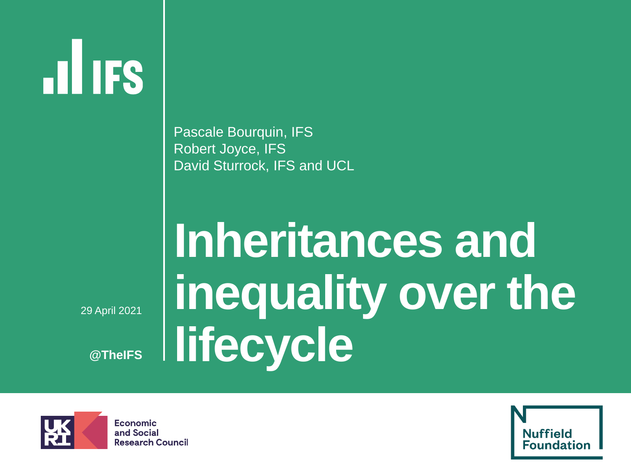# **ILIFS**

Pascale Bourquin, IFS Robert Joyce, IFS David Sturrock, IFS and UCL

▪ 29 April 2021

**@TheIFS**

## **Inheritances and inequality over the lifecycle**



Economic and Social **Research Council** 

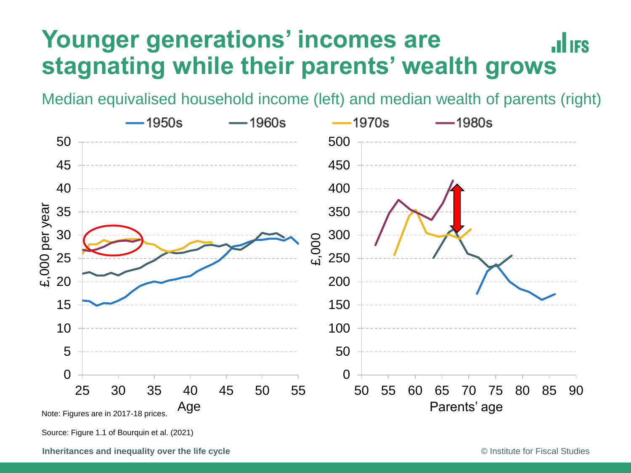#### **Younger generations' incomes are JULIES stagnating while their parents' wealth grows**

Median equivalised household income (left) and median wealth of parents (right)



Source: Figure 1.1 of Bourquin et al. (2021)

**Inheritances and inequality over the life cycle Studies Constant Constant Constant Constant Constant Constant Constant Constant Constant Constant Constant Constant Constant Constant Constant Constant Constant Constant**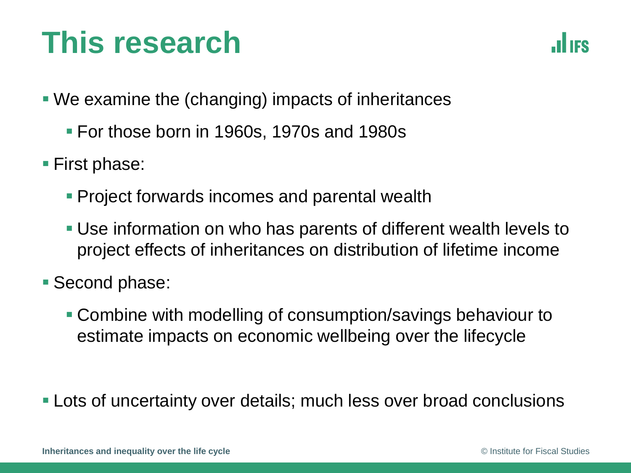## **This research**



- We examine the (changing) impacts of inheritances
	- For those born in 1960s, 1970s and 1980s
- First phase:
	- **Project forwards incomes and parental wealth**
	- Use information on who has parents of different wealth levels to project effects of inheritances on distribution of lifetime income
- Second phase:
	- Combine with modelling of consumption/savings behaviour to estimate impacts on economic wellbeing over the lifecycle
- **EXA)** Lots of uncertainty over details; much less over broad conclusions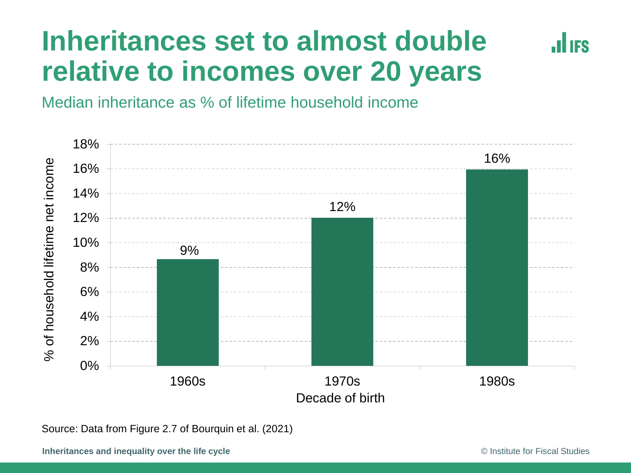#### **Inheritances set to almost double relative to incomes over 20 years**



Median inheritance as % of lifetime household income



Source: Data from Figure 2.7 of Bourquin et al. (2021)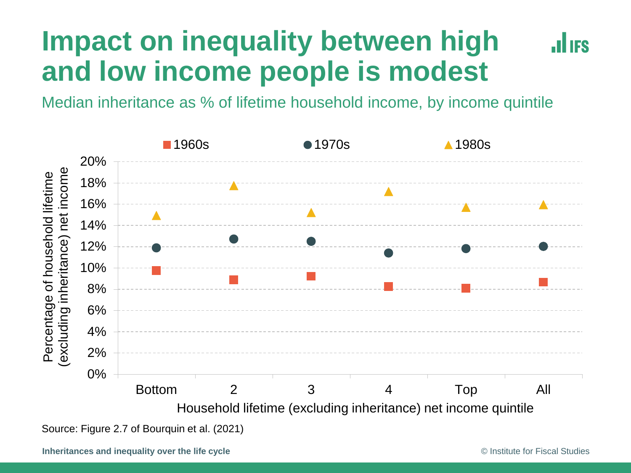#### **Impact on inequality between high II IFS and low income people is modest**

Median inheritance as % of lifetime household income, by income quintile



Source: Figure 2.7 of Bourquin et al. (2021)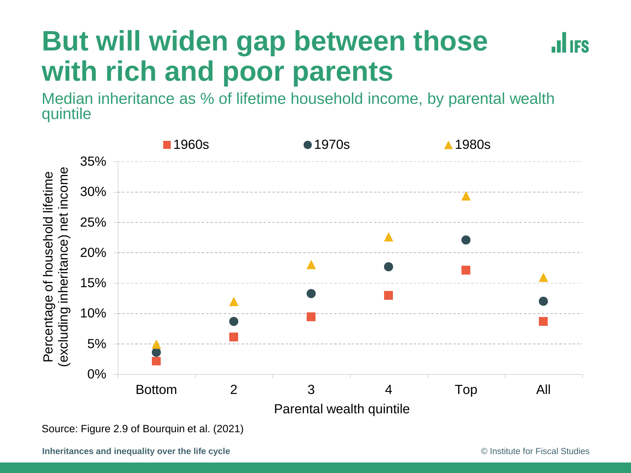## **But will widen gap between those with rich and poor parents**

**HES** 

Median inheritance as % of lifetime household income, by parental wealth quintile



Source: Figure 2.9 of Bourquin et al. (2021)

**Inheritances and inequality over the life cycle Studies Constant Constant Constant Constant Constant Constant Constant Constant Constant Constant Constant Constant Constant Constant Constant Constant Constant Constant**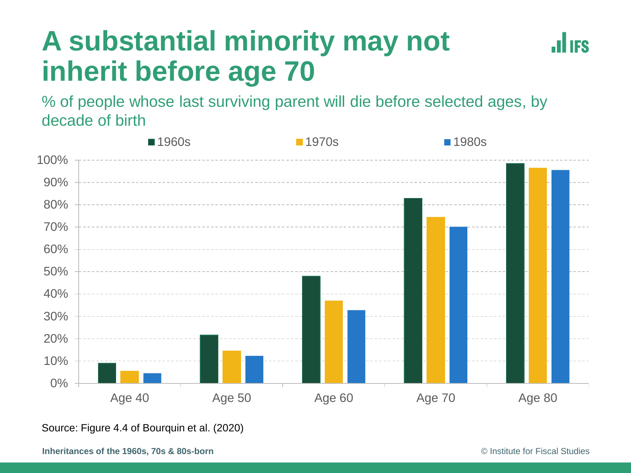## **A substantial minority may not inherit before age 70**

**JULIES** 

% of people whose last surviving parent will die before selected ages, by decade of birth



Source: Figure 4.4 of Bourquin et al. (2020)

**Inheritances of the 1960s, 70s & 80s-born Constant Constant Constant Constant Constant Constant Constant Constant Constant Constant Constant Constant Constant Constant Constant Constant Constant Constant Constant Consta**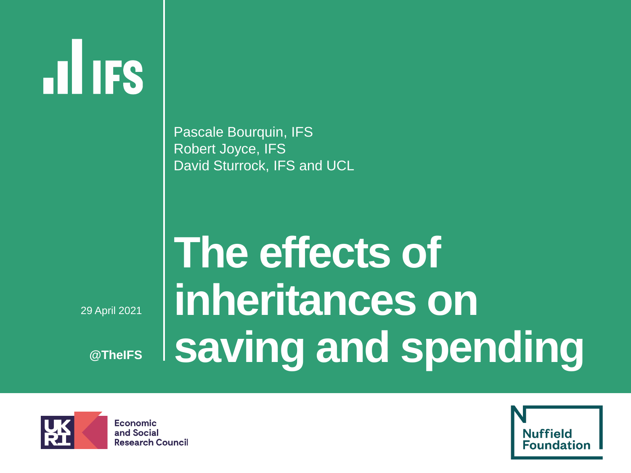# **HIIFS**

Pascale Bourquin, IFS Robert Joyce, IFS David Sturrock, IFS and UCL

▪ 29 April 2021

**@TheIFS**

## **The effects of inheritances on saving and spending**

![](_page_7_Picture_5.jpeg)

Economic and Social **Research Council** 

![](_page_7_Picture_7.jpeg)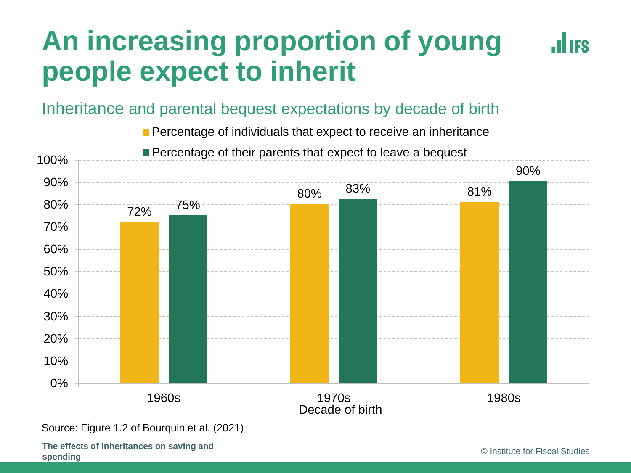## **An increasing proportion of young people expect to inherit**

#### Inheritance and parental bequest expectations by decade of birth

**Percentage of individuals that expect to receive an inheritance** 

![](_page_8_Figure_3.jpeg)

Source: Figure 1.2 of Bourquin et al. (2021)

**The effects of inheritances on saving and Spending** Christmas Constitute on Saving and Christmas Christmas Christmas Christmas Christmas Christmas Christmas Christmas Christmas Christmas Christmas Christmas Christmas Christmas Christmas Christmas Christmas Christ

**HES**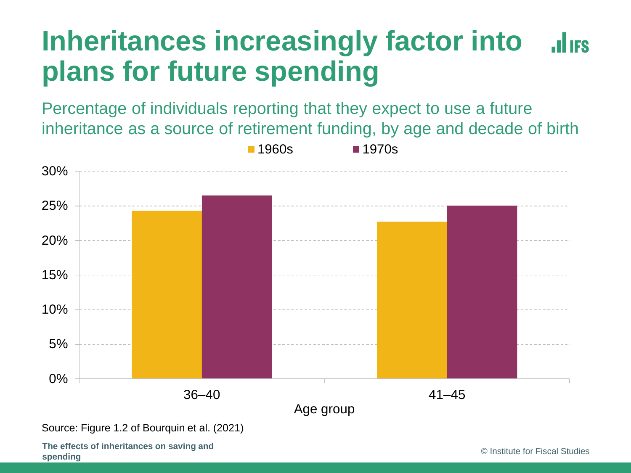#### **Inheritances increasingly factor into JULIES plans for future spending**

Percentage of individuals reporting that they expect to use a future inheritance as a source of retirement funding, by age and decade of birth

![](_page_9_Figure_2.jpeg)

Source: Figure 1.2 of Bourquin et al. (2021)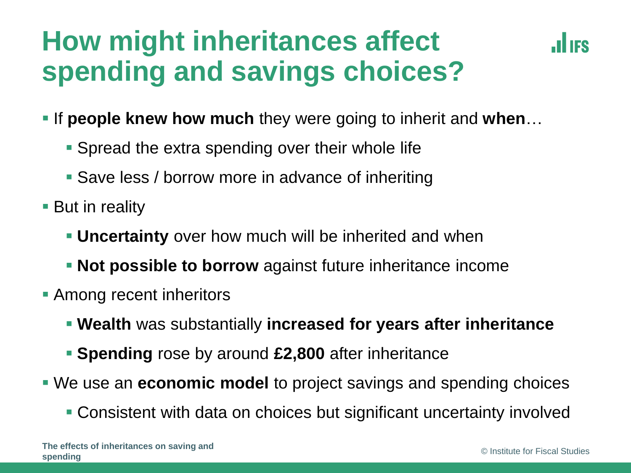## **How might inheritances affect spending and savings choices?**

![](_page_10_Picture_1.jpeg)

- If **people knew how much** they were going to inherit and when...
	- **Spread the extra spending over their whole life**
	- Save less / borrow more in advance of inheriting
- But in reality
	- **Uncertainty** over how much will be inherited and when
	- **Not possible to borrow** against future inheritance income
- **Among recent inheritors** 
	- **Wealth** was substantially **increased for years after inheritance**
	- **EXEQUE FIGHT Spending** rose by around **£2,800** after inheritance
- We use an **economic model** to project savings and spending choices
	- Consistent with data on choices but significant uncertainty involved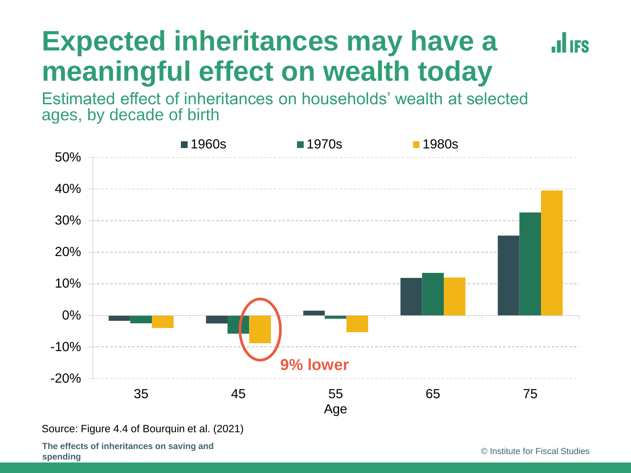#### **Expected inheritances may have a ALLIES meaningful effect on wealth today**

Estimated effect of inheritances on households' wealth at selected ages, by decade of birth

![](_page_11_Figure_2.jpeg)

Source: Figure 4.4 of Bourquin et al. (2021)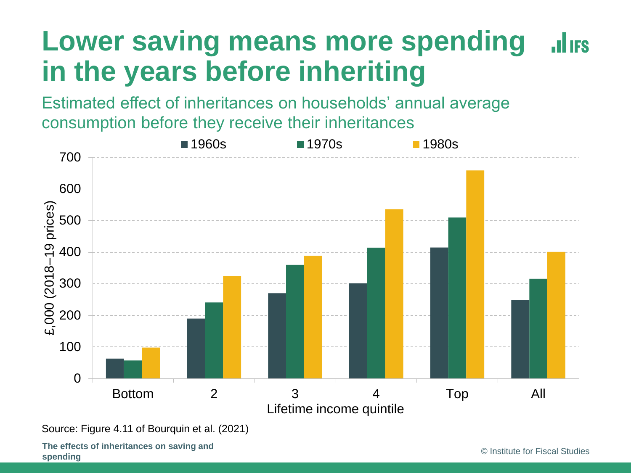#### **Lower saving means more spending JULIES in the years before inheriting**

Estimated effect of inheritances on households' annual average consumption before they receive their inheritances

![](_page_12_Figure_2.jpeg)

Source: Figure 4.11 of Bourquin et al. (2021)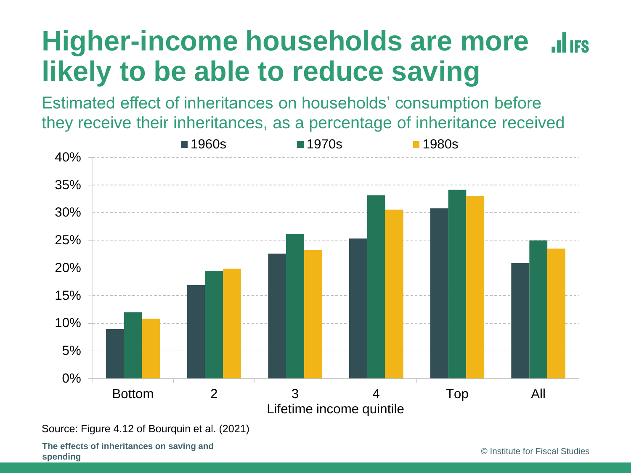#### **Higher-income households are more JULIES likely to be able to reduce saving**

Estimated effect of inheritances on households' consumption before they receive their inheritances, as a percentage of inheritance received

![](_page_13_Figure_2.jpeg)

Source: Figure 4.12 of Bourquin et al. (2021)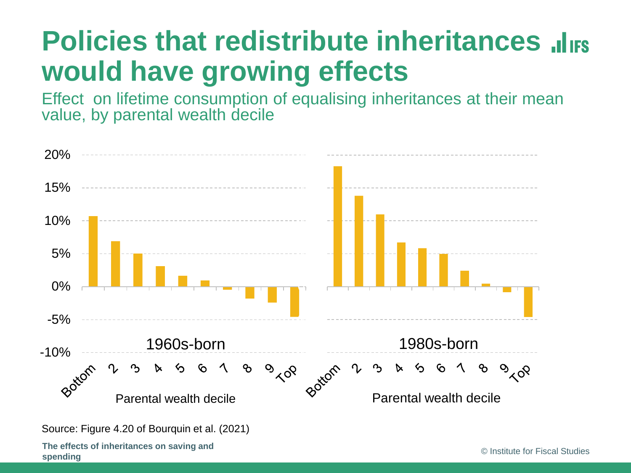## **Policies that redistribute inheritances** *alies* **would have growing effects**

Effect on lifetime consumption of equalising inheritances at their mean value, by parental wealth decile

![](_page_14_Figure_2.jpeg)

Source: Figure 4.20 of Bourquin et al. (2021)